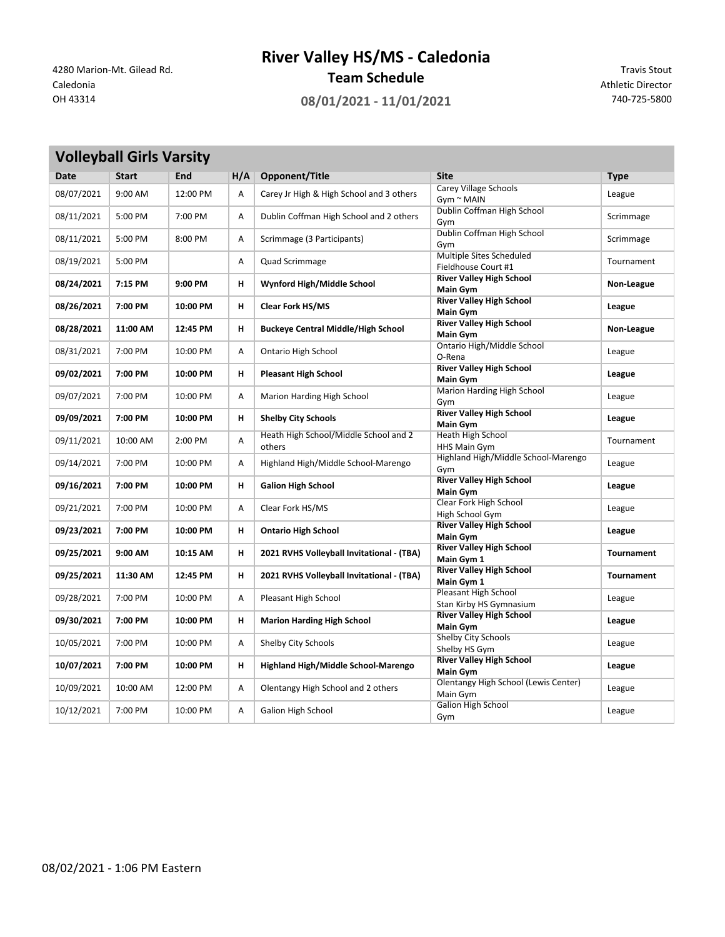**River Valley HS/MS - Caledonia**

**Team Schedule** 4280 Marion-Mt. Gilead Rd. Travis Stout<br>Caledonia **Team Schedule** Athletic Director

**College** 

OH 43314 **08/01/2021 - 11/01/2021** 740-725-5800

Athletic Director

| <b>Volleyball Girls Varsity</b> |              |          |     |                                                 |                                                    |                   |
|---------------------------------|--------------|----------|-----|-------------------------------------------------|----------------------------------------------------|-------------------|
| <b>Date</b>                     | <b>Start</b> | End      | H/A | Opponent/Title                                  | <b>Site</b>                                        | <b>Type</b>       |
| 08/07/2021                      | 9:00 AM      | 12:00 PM | Α   | Carey Jr High & High School and 3 others        | <b>Carey Village Schools</b><br>$Gym \sim MAIN$    | League            |
| 08/11/2021                      | 5:00 PM      | 7:00 PM  | Α   | Dublin Coffman High School and 2 others         | Dublin Coffman High School<br>Gym                  | Scrimmage         |
| 08/11/2021                      | 5:00 PM      | 8:00 PM  | Α   | Scrimmage (3 Participants)                      | Dublin Coffman High School<br>Gym                  | Scrimmage         |
| 08/19/2021                      | 5:00 PM      |          | А   | Quad Scrimmage                                  | Multiple Sites Scheduled<br>Fieldhouse Court #1    | Tournament        |
| 08/24/2021                      | 7:15 PM      | 9:00 PM  | н   | Wynford High/Middle School                      | <b>River Valley High School</b><br><b>Main Gym</b> | Non-League        |
| 08/26/2021                      | 7:00 PM      | 10:00 PM | н   | <b>Clear Fork HS/MS</b>                         | <b>River Valley High School</b><br><b>Main Gym</b> | League            |
| 08/28/2021                      | 11:00 AM     | 12:45 PM | н   | <b>Buckeye Central Middle/High School</b>       | <b>River Valley High School</b><br><b>Main Gym</b> | Non-League        |
| 08/31/2021                      | 7:00 PM      | 10:00 PM | Α   | Ontario High School                             | Ontario High/Middle School<br>O-Rena               | League            |
| 09/02/2021                      | 7:00 PM      | 10:00 PM | н   | <b>Pleasant High School</b>                     | <b>River Valley High School</b><br><b>Main Gym</b> | League            |
| 09/07/2021                      | 7:00 PM      | 10:00 PM | Α   | Marion Harding High School                      | Marion Harding High School<br>Gym                  | League            |
| 09/09/2021                      | 7:00 PM      | 10:00 PM | н   | <b>Shelby City Schools</b>                      | <b>River Valley High School</b><br><b>Main Gym</b> | League            |
| 09/11/2021                      | 10:00 AM     | 2:00 PM  | А   | Heath High School/Middle School and 2<br>others | Heath High School<br>HHS Main Gym                  | Tournament        |
| 09/14/2021                      | 7:00 PM      | 10:00 PM | А   | Highland High/Middle School-Marengo             | Highland High/Middle School-Marengo<br>Gym         | League            |
| 09/16/2021                      | 7:00 PM      | 10:00 PM | н   | <b>Galion High School</b>                       | <b>River Valley High School</b><br><b>Main Gym</b> | League            |
| 09/21/2021                      | 7:00 PM      | 10:00 PM | Α   | Clear Fork HS/MS                                | Clear Fork High School<br>High School Gym          | League            |
| 09/23/2021                      | 7:00 PM      | 10:00 PM | н   | <b>Ontario High School</b>                      | <b>River Valley High School</b><br><b>Main Gym</b> | League            |
| 09/25/2021                      | 9:00 AM      | 10:15 AM | н   | 2021 RVHS Volleyball Invitational - (TBA)       | <b>River Valley High School</b><br>Main Gym 1      | <b>Tournament</b> |
| 09/25/2021                      | 11:30 AM     | 12:45 PM | н   | 2021 RVHS Volleyball Invitational - (TBA)       | <b>River Valley High School</b><br>Main Gym 1      | <b>Tournament</b> |
| 09/28/2021                      | 7:00 PM      | 10:00 PM | Α   | Pleasant High School                            | Pleasant High School<br>Stan Kirby HS Gymnasium    | League            |
| 09/30/2021                      | 7:00 PM      | 10:00 PM | н   | <b>Marion Harding High School</b>               | <b>River Valley High School</b><br><b>Main Gym</b> | League            |
| 10/05/2021                      | 7:00 PM      | 10:00 PM | А   | Shelby City Schools                             | Shelby City Schools<br>Shelby HS Gym               | League            |
| 10/07/2021                      | 7:00 PM      | 10:00 PM | н   | Highland High/Middle School-Marengo             | <b>River Valley High School</b><br><b>Main Gym</b> | League            |
| 10/09/2021                      | 10:00 AM     | 12:00 PM | А   | Olentangy High School and 2 others              | Olentangy High School (Lewis Center)<br>Main Gym   | League            |
| 10/12/2021                      | 7:00 PM      | 10:00 PM | A   | Galion High School                              | <b>Galion High School</b><br>Gym                   | League            |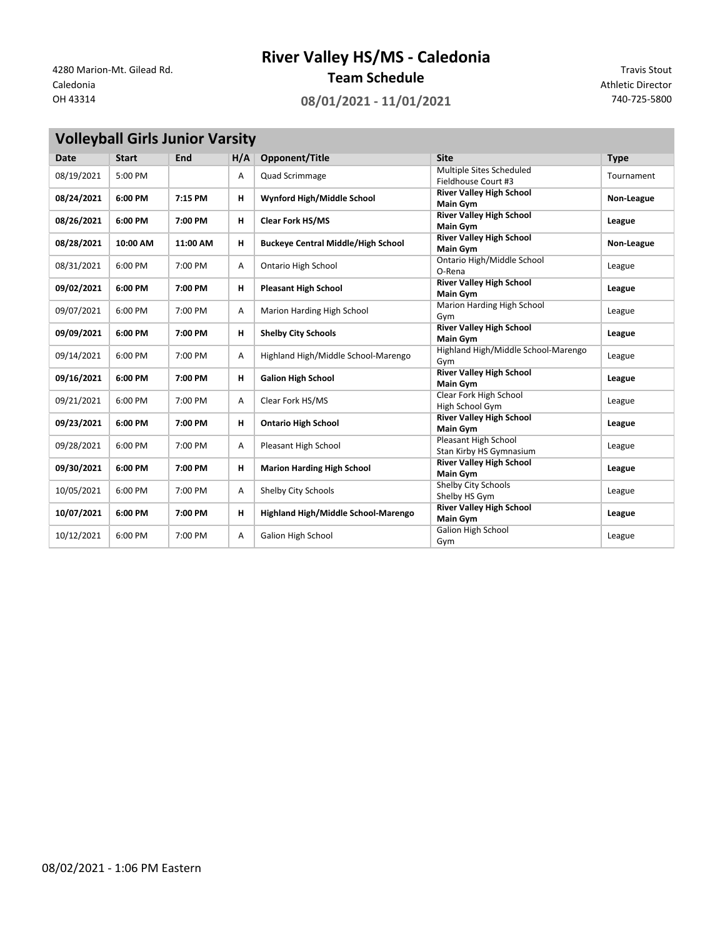## **River Valley HS/MS - Caledonia**

**Team Schedule** 4280 Marion-Mt. Gilead Rd. Travis Stout<br>Caledonia **Team Schedule** Athletic Director

OH 43314 **08/01/2021 - 11/01/2021** 740-725-5800

Athletic Director

|  |  | Volleyball Girls Junior Varsity |
|--|--|---------------------------------|
|--|--|---------------------------------|

| <b>Date</b> | <b>Start</b> | <b>End</b> | H/A | Opponent/Title                            | <b>Site</b>                                        | <b>Type</b> |
|-------------|--------------|------------|-----|-------------------------------------------|----------------------------------------------------|-------------|
| 08/19/2021  | 5:00 PM      |            | Α   | Quad Scrimmage                            | Multiple Sites Scheduled<br>Fieldhouse Court #3    | Tournament  |
| 08/24/2021  | 6:00 PM      | 7:15 PM    | н   | Wynford High/Middle School                | <b>River Valley High School</b><br><b>Main Gym</b> | Non-League  |
| 08/26/2021  | 6:00 PM      | 7:00 PM    | н   | <b>Clear Fork HS/MS</b>                   | <b>River Valley High School</b><br><b>Main Gym</b> | League      |
| 08/28/2021  | 10:00 AM     | 11:00 AM   | н   | <b>Buckeye Central Middle/High School</b> | <b>River Valley High School</b><br><b>Main Gym</b> | Non-League  |
| 08/31/2021  | 6:00 PM      | 7:00 PM    | Α   | Ontario High School                       | Ontario High/Middle School<br>O-Rena               | League      |
| 09/02/2021  | 6:00 PM      | 7:00 PM    | н   | <b>Pleasant High School</b>               | <b>River Valley High School</b><br><b>Main Gym</b> | League      |
| 09/07/2021  | 6:00 PM      | 7:00 PM    | Α   | Marion Harding High School                | Marion Harding High School<br>Gym                  | League      |
| 09/09/2021  | 6:00 PM      | 7:00 PM    | н   | <b>Shelby City Schools</b>                | <b>River Valley High School</b><br><b>Main Gym</b> | League      |
| 09/14/2021  | 6:00 PM      | 7:00 PM    | Α   | Highland High/Middle School-Marengo       | Highland High/Middle School-Marengo<br>Gym         | League      |
| 09/16/2021  | 6:00 PM      | 7:00 PM    | н   | <b>Galion High School</b>                 | <b>River Valley High School</b><br><b>Main Gym</b> | League      |
| 09/21/2021  | 6:00 PM      | 7:00 PM    | Α   | Clear Fork HS/MS                          | Clear Fork High School<br>High School Gym          | League      |
| 09/23/2021  | 6:00 PM      | 7:00 PM    | н   | <b>Ontario High School</b>                | <b>River Valley High School</b><br><b>Main Gym</b> | League      |
| 09/28/2021  | 6:00 PM      | 7:00 PM    | Α   | Pleasant High School                      | Pleasant High School<br>Stan Kirby HS Gymnasium    | League      |
| 09/30/2021  | 6:00 PM      | 7:00 PM    | н   | <b>Marion Harding High School</b>         | <b>River Valley High School</b><br><b>Main Gym</b> | League      |
| 10/05/2021  | 6:00 PM      | 7:00 PM    | Α   | Shelby City Schools                       | Shelby City Schools<br>Shelby HS Gym               | League      |
| 10/07/2021  | 6:00 PM      | 7:00 PM    | н   | Highland High/Middle School-Marengo       | <b>River Valley High School</b><br><b>Main Gym</b> | League      |
| 10/12/2021  | 6:00 PM      | 7:00 PM    | Α   | <b>Galion High School</b>                 | Galion High School<br>Gym                          | League      |